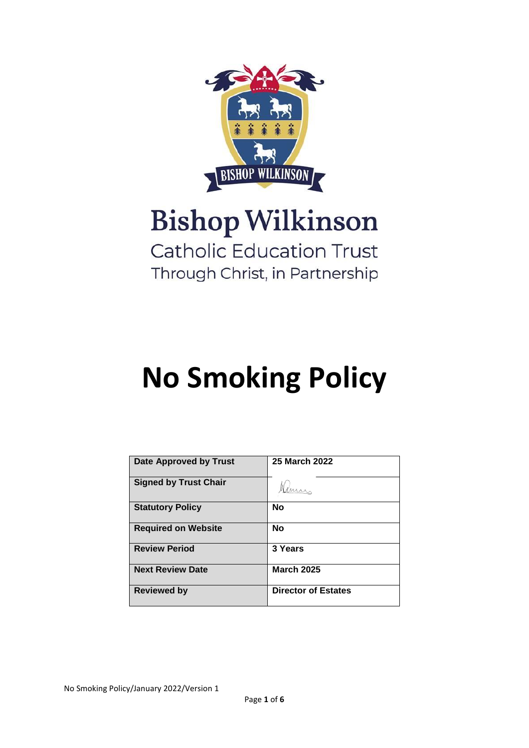

# **Bishop Wilkinson**

### **Catholic Education Trust** Through Christ, in Partnership

## **No Smoking Policy**

| <b>Date Approved by Trust</b> | <b>25 March 2022</b>       |
|-------------------------------|----------------------------|
| <b>Signed by Trust Chair</b>  |                            |
| <b>Statutory Policy</b>       | <b>No</b>                  |
| <b>Required on Website</b>    | <b>No</b>                  |
| <b>Review Period</b>          | 3 Years                    |
| <b>Next Review Date</b>       | <b>March 2025</b>          |
| <b>Reviewed by</b>            | <b>Director of Estates</b> |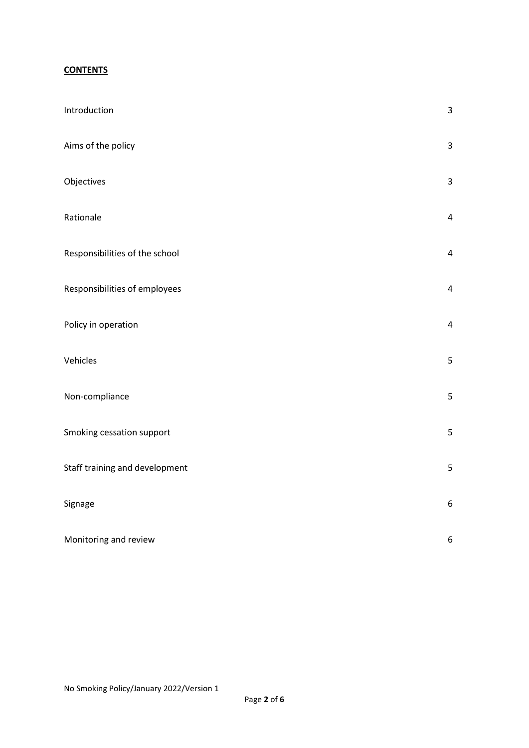#### **CONTENTS**

| Introduction                   | $\mathbf{3}$            |
|--------------------------------|-------------------------|
| Aims of the policy             | $\mathbf{3}$            |
| Objectives                     | $\mathsf{3}$            |
| Rationale                      | $\pmb{4}$               |
| Responsibilities of the school | $\overline{\mathbf{4}}$ |
| Responsibilities of employees  | $\overline{\mathbf{4}}$ |
| Policy in operation            | $\overline{\mathbf{4}}$ |
| Vehicles                       | 5                       |
| Non-compliance                 | 5                       |
| Smoking cessation support      | 5                       |
| Staff training and development | 5                       |
| Signage                        | $\boldsymbol{6}$        |
| Monitoring and review          | $\boldsymbol{6}$        |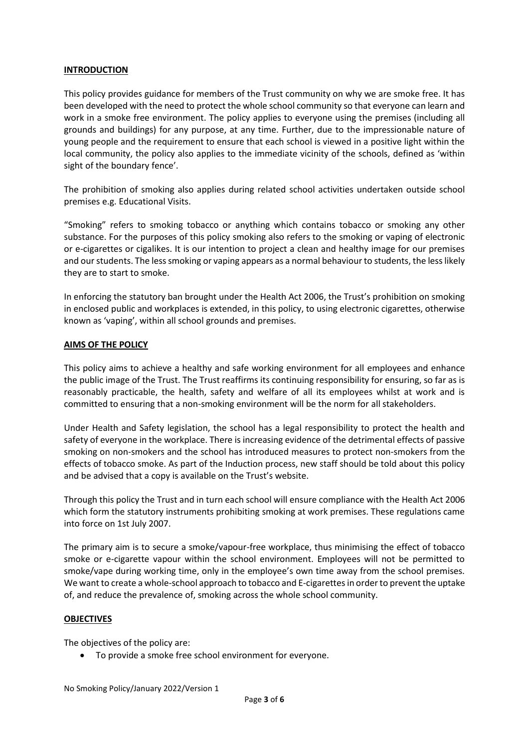#### **INTRODUCTION**

This policy provides guidance for members of the Trust community on why we are smoke free. It has been developed with the need to protect the whole school community so that everyone can learn and work in a smoke free environment. The policy applies to everyone using the premises (including all grounds and buildings) for any purpose, at any time. Further, due to the impressionable nature of young people and the requirement to ensure that each school is viewed in a positive light within the local community, the policy also applies to the immediate vicinity of the schools, defined as 'within sight of the boundary fence'.

The prohibition of smoking also applies during related school activities undertaken outside school premises e.g. Educational Visits.

"Smoking" refers to smoking tobacco or anything which contains tobacco or smoking any other substance. For the purposes of this policy smoking also refers to the smoking or vaping of electronic or e-cigarettes or cigalikes. It is our intention to project a clean and healthy image for our premises and our students. The less smoking or vaping appears as a normal behaviour to students, the less likely they are to start to smoke.

In enforcing the statutory ban brought under the Health Act 2006, the Trust's prohibition on smoking in enclosed public and workplaces is extended, in this policy, to using electronic cigarettes, otherwise known as 'vaping', within all school grounds and premises.

#### **AIMS OF THE POLICY**

This policy aims to achieve a healthy and safe working environment for all employees and enhance the public image of the Trust. The Trust reaffirms its continuing responsibility for ensuring, so far as is reasonably practicable, the health, safety and welfare of all its employees whilst at work and is committed to ensuring that a non-smoking environment will be the norm for all stakeholders.

Under Health and Safety legislation, the school has a legal responsibility to protect the health and safety of everyone in the workplace. There is increasing evidence of the detrimental effects of passive smoking on non-smokers and the school has introduced measures to protect non-smokers from the effects of tobacco smoke. As part of the Induction process, new staff should be told about this policy and be advised that a copy is available on the Trust's website.

Through this policy the Trust and in turn each school will ensure compliance with the Health Act 2006 which form the statutory instruments prohibiting smoking at work premises. These regulations came into force on 1st July 2007.

The primary aim is to secure a smoke/vapour-free workplace, thus minimising the effect of tobacco smoke or e-cigarette vapour within the school environment. Employees will not be permitted to smoke/vape during working time, only in the employee's own time away from the school premises. We want to create a whole-school approach to tobacco and E-cigarettes in order to prevent the uptake of, and reduce the prevalence of, smoking across the whole school community.

#### **OBJECTIVES**

The objectives of the policy are:

• To provide a smoke free school environment for everyone.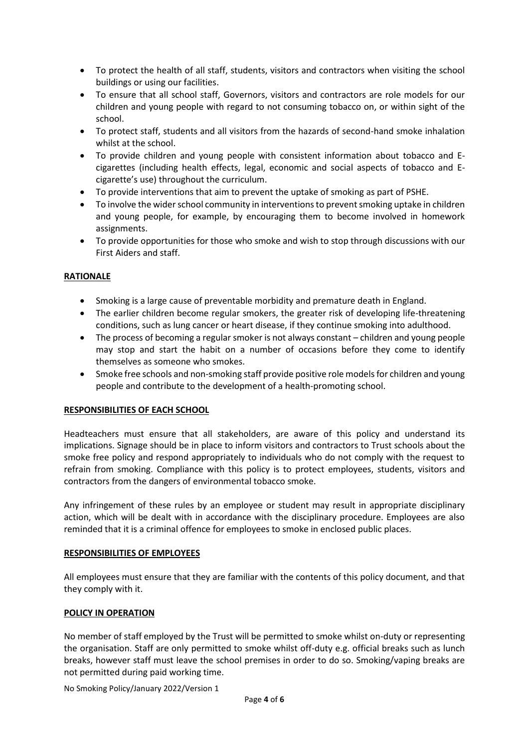- To protect the health of all staff, students, visitors and contractors when visiting the school buildings or using our facilities.
- To ensure that all school staff, Governors, visitors and contractors are role models for our children and young people with regard to not consuming tobacco on, or within sight of the school.
- To protect staff, students and all visitors from the hazards of second-hand smoke inhalation whilst at the school.
- To provide children and young people with consistent information about tobacco and Ecigarettes (including health effects, legal, economic and social aspects of tobacco and Ecigarette's use) throughout the curriculum.
- To provide interventions that aim to prevent the uptake of smoking as part of PSHE.
- To involve the wider school community in interventions to prevent smoking uptake in children and young people, for example, by encouraging them to become involved in homework assignments.
- To provide opportunities for those who smoke and wish to stop through discussions with our First Aiders and staff.

#### **RATIONALE**

- Smoking is a large cause of preventable morbidity and premature death in England.
- The earlier children become regular smokers, the greater risk of developing life-threatening conditions, such as lung cancer or heart disease, if they continue smoking into adulthood.
- The process of becoming a regular smoker is not always constant children and young people may stop and start the habit on a number of occasions before they come to identify themselves as someone who smokes.
- Smoke free schools and non-smoking staff provide positive role models for children and young people and contribute to the development of a health-promoting school.

#### **RESPONSIBILITIES OF EACH SCHOOL**

Headteachers must ensure that all stakeholders, are aware of this policy and understand its implications. Signage should be in place to inform visitors and contractors to Trust schools about the smoke free policy and respond appropriately to individuals who do not comply with the request to refrain from smoking. Compliance with this policy is to protect employees, students, visitors and contractors from the dangers of environmental tobacco smoke.

Any infringement of these rules by an employee or student may result in appropriate disciplinary action, which will be dealt with in accordance with the disciplinary procedure. Employees are also reminded that it is a criminal offence for employees to smoke in enclosed public places.

#### **RESPONSIBILITIES OF EMPLOYEES**

All employees must ensure that they are familiar with the contents of this policy document, and that they comply with it.

#### **POLICY IN OPERATION**

No member of staff employed by the Trust will be permitted to smoke whilst on-duty or representing the organisation. Staff are only permitted to smoke whilst off-duty e.g. official breaks such as lunch breaks, however staff must leave the school premises in order to do so. Smoking/vaping breaks are not permitted during paid working time.

No Smoking Policy/January 2022/Version 1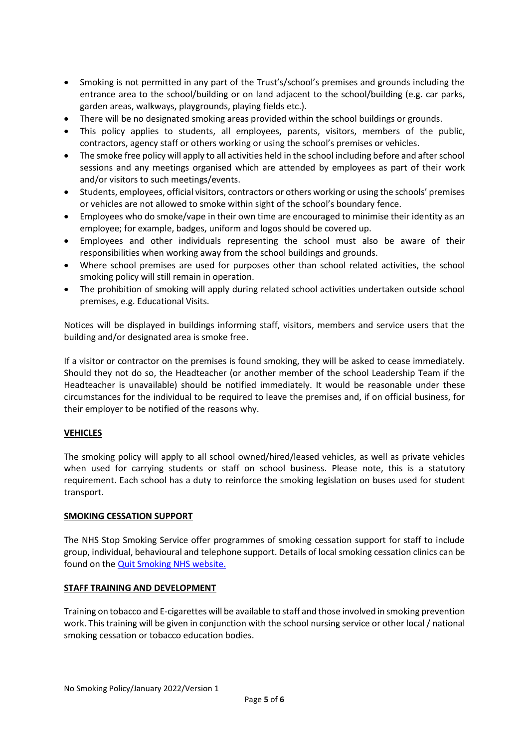- Smoking is not permitted in any part of the Trust's/school's premises and grounds including the entrance area to the school/building or on land adjacent to the school/building (e.g. car parks, garden areas, walkways, playgrounds, playing fields etc.).
- There will be no designated smoking areas provided within the school buildings or grounds.
- This policy applies to students, all employees, parents, visitors, members of the public, contractors, agency staff or others working or using the school's premises or vehicles.
- The smoke free policy will apply to all activities held in the school including before and after school sessions and any meetings organised which are attended by employees as part of their work and/or visitors to such meetings/events.
- Students, employees, official visitors, contractors or others working or using the schools' premises or vehicles are not allowed to smoke within sight of the school's boundary fence.
- Employees who do smoke/vape in their own time are encouraged to minimise their identity as an employee; for example, badges, uniform and logos should be covered up.
- Employees and other individuals representing the school must also be aware of their responsibilities when working away from the school buildings and grounds.
- Where school premises are used for purposes other than school related activities, the school smoking policy will still remain in operation.
- The prohibition of smoking will apply during related school activities undertaken outside school premises, e.g. Educational Visits.

Notices will be displayed in buildings informing staff, visitors, members and service users that the building and/or designated area is smoke free.

If a visitor or contractor on the premises is found smoking, they will be asked to cease immediately. Should they not do so, the Headteacher (or another member of the school Leadership Team if the Headteacher is unavailable) should be notified immediately. It would be reasonable under these circumstances for the individual to be required to leave the premises and, if on official business, for their employer to be notified of the reasons why.

#### **VEHICLES**

The smoking policy will apply to all school owned/hired/leased vehicles, as well as private vehicles when used for carrying students or staff on school business. Please note, this is a statutory requirement. Each school has a duty to reinforce the smoking legislation on buses used for student transport.

#### **SMOKING CESSATION SUPPORT**

The NHS Stop Smoking Service offer programmes of smoking cessation support for staff to include group, individual, behavioural and telephone support. Details of local smoking cessation clinics can be found on th[e Quit Smoking NHS website.](https://www.nhs.uk/better-health/quit-smoking/?WT.mc_ID=JanQuitSmokingPPC&gclsrc=aw.ds&msclkid=3e6a4147d65c126a9a0520a683b9e80d)

#### **STAFF TRAINING AND DEVELOPMENT**

Training on tobacco and E-cigarettes will be available to staff and those involved in smoking prevention work. This training will be given in conjunction with the school nursing service or other local / national smoking cessation or tobacco education bodies.